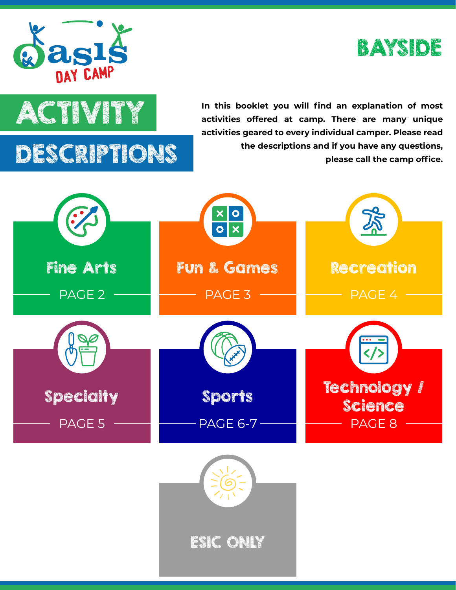





**ACTIVITY** In this booklet you will find an explanation of most<br>activities offered at camp. There are many unique **activities offered at camp. There are many unique activities geared to every individual camper. Please read the descriptions and if you have any questions, please call the camp office.**

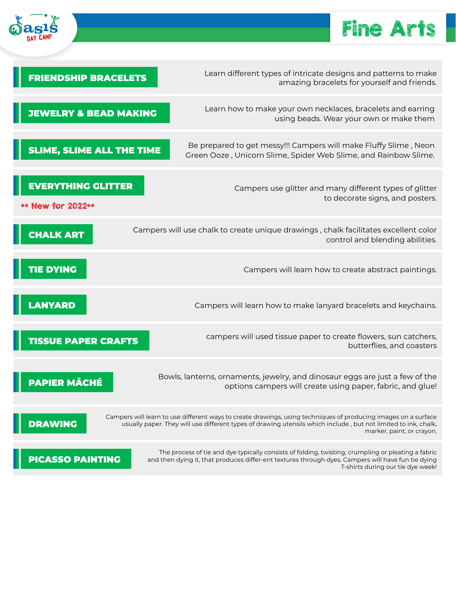

## Fine Arts

| <b>FRIENDSHIP BRACELETS</b>                    | Learn different types of intricate designs and patterns to make<br>amazing bracelets for yourself and friends.                                                                                                                                                |
|------------------------------------------------|---------------------------------------------------------------------------------------------------------------------------------------------------------------------------------------------------------------------------------------------------------------|
| <b>JEWELRY &amp; BEAD MAKING</b>               | Learn how to make your own necklaces, bracelets and earring<br>using beads. Wear your own or make them                                                                                                                                                        |
| <b>SLIME, SLIME ALL THE TIME</b>               | Be prepared to get messy!!! Campers will make Fluffy Slime, Neon<br>Green Ooze, Unicorn Slime, Spider Web Slime, and Rainbow Slime.                                                                                                                           |
| <b>EVERYTHING GLITTER</b><br>** New for 2022** | Campers use glitter and many different types of glitter<br>to decorate signs, and posters.                                                                                                                                                                    |
| <b>CHALK ART</b>                               | Campers will use chalk to create unique drawings, chalk facilitates excellent color<br>control and blending abilities.                                                                                                                                        |
| <b>TIE DYING</b>                               | Campers will learn how to create abstract paintings.                                                                                                                                                                                                          |
| <b>LANYARD</b>                                 | Campers will learn how to make lanyard bracelets and keychains.                                                                                                                                                                                               |
| <b>TISSUE PAPER CRAFTS</b>                     | campers will used tissue paper to create flowers, sun catchers,<br>butterflies, and coasters                                                                                                                                                                  |
| PAPIER MÂCHÉ                                   | Bowls, lanterns, ornaments, jewelry, and dinosaur eggs are just a few of the<br>options campers will create using paper, fabric, and glue!                                                                                                                    |
| <b>DRAWING</b>                                 | Campers will learn to use different ways to create drawings, using techniques of producing images on a surface<br>usually paper. They will use different types of drawing utensils which include, but not limited to ink, chalk,<br>marker, paint, or crayon. |
| <b>PICASSO PAINTING</b>                        | The process of tie and dye typically consists of folding, twisting, crumpling or pleating a fabric<br>and then dying it, that produces differ-ent textures through dyes. Campers will have fun tie dying<br>T-shirts during our tie dye week!                 |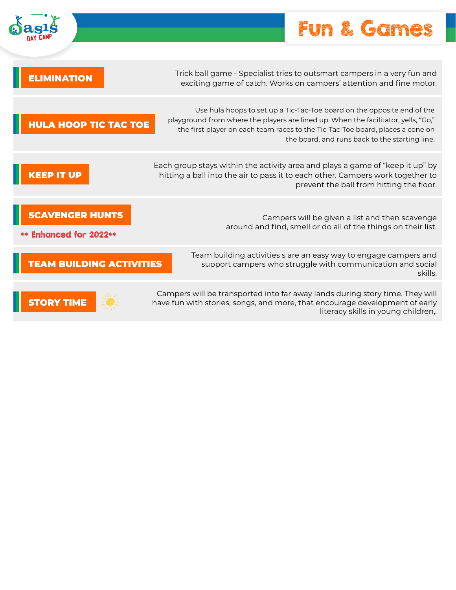## Fun & Games

| <b>MINATION</b>                                 | Trick ball game - Specialist tries to outsmart campers in a very fun and<br>exciting game of catch. Works on campers' attention and fine motor.                                                                                                                                                   |
|-------------------------------------------------|---------------------------------------------------------------------------------------------------------------------------------------------------------------------------------------------------------------------------------------------------------------------------------------------------|
| <b>HULA HOOP TIC TAC TOE</b>                    | Use hula hoops to set up a Tic-Tac-Toe board on the opposite end of the<br>playground from where the players are lined up. When the facilitator, yells, "Go,"<br>the first player on each team races to the Tic-Tac-Toe board, places a cone on<br>the board, and runs back to the starting line. |
| <b>KEEP IT UP</b>                               | Each group stays within the activity area and plays a game of "keep it up" by<br>hitting a ball into the air to pass it to each other. Campers work together to<br>prevent the ball from hitting the floor.                                                                                       |
| <b>CAVENGER HUNTS</b><br>** Enhanced for 2022** | Campers will be given a list and then scavenge<br>around and find, smell or do all of the things on their list.                                                                                                                                                                                   |
| <b>EAM BUILDING ACTIVITIES</b>                  | Team building activities s are an easy way to engage campers and<br>support campers who struggle with communication and social<br>skills.                                                                                                                                                         |
|                                                 | Campers will be transported into far away lands during story time. They will<br>have fun with stories, songs, and more, that encourage development of early<br>literacy skills in young children,.                                                                                                |

 $\delta$ ası $\zeta$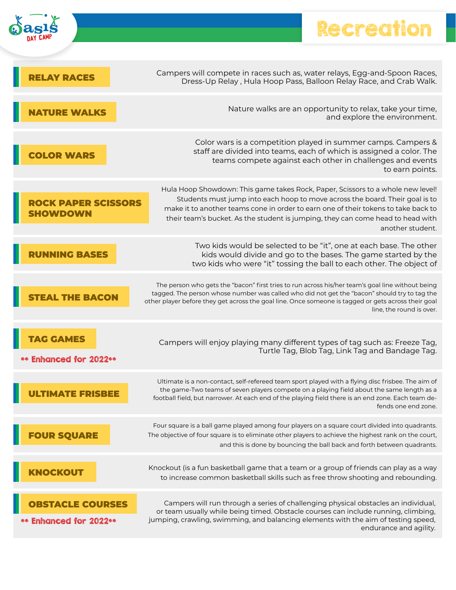## Recreation

F



| <b>RELAY RACES</b>                                   | Campers will compete in races such as, water relays, Egg-and-Spoon Races,<br>Dress-Up Relay, Hula Hoop Pass, Balloon Relay Race, and Crab Walk.                                                                                                                                                                                                              |
|------------------------------------------------------|--------------------------------------------------------------------------------------------------------------------------------------------------------------------------------------------------------------------------------------------------------------------------------------------------------------------------------------------------------------|
| <b>NATURE WALKS</b>                                  | Nature walks are an opportunity to relax, take your time,<br>and explore the environment.                                                                                                                                                                                                                                                                    |
| <b>COLOR WARS</b>                                    | Color wars is a competition played in summer camps. Campers &<br>staff are divided into teams, each of which is assigned a color. The<br>teams compete against each other in challenges and events<br>to earn points.                                                                                                                                        |
| <b>ROCK PAPER SCISSORS</b><br>SHOWDOWN               | Hula Hoop Showdown: This game takes Rock, Paper, Scissors to a whole new level!<br>Students must jump into each hoop to move across the board. Their goal is to<br>make it to another teams cone in order to earn one of their tokens to take back to<br>their team's bucket. As the student is jumping, they can come head to head with<br>another student. |
| <b>RUNNING BASES</b>                                 | Two kids would be selected to be "it", one at each base. The other<br>kids would divide and go to the bases. The game started by the<br>two kids who were "it" tossing the ball to each other. The object of                                                                                                                                                 |
| <b>EAL THE BACON</b>                                 | The person who gets the "bacon" first tries to run across his/her team's goal line without being<br>tagged. The person whose number was called who did not get the "bacon" should try to tag the<br>other player before they get across the goal line. Once someone is tagged or gets across their goal<br>line, the round is over.                          |
| <b>TAG GAMES</b><br>** Enhanced for 2022**           | Campers will enjoy playing many different types of tag such as: Freeze Tag,<br>Turtle Tag, Blob Tag, Link Tag and Bandage Tag.                                                                                                                                                                                                                               |
|                                                      | Ultimate is a non-contact, self-refereed team sport played with a flying disc frisbee. The aim of<br>the game-Two teams of seven players compete on a playing field about the same length as a<br>football field, but narrower. At each end of the playing field there is an end zone. Each team de-<br>fends one end zone.                                  |
| <b>OUR SQUARE</b>                                    | Four square is a ball game played among four players on a square court divided into quadrants.<br>The objective of four square is to eliminate other players to achieve the highest rank on the court,<br>and this is done by bouncing the ball back and forth between quadrants.                                                                            |
| <b>NOCKOUT</b>                                       | Knockout (is a fun basketball game that a team or a group of friends can play as a way<br>to increase common basketball skills such as free throw shooting and rebounding.                                                                                                                                                                                   |
| <b>ISTACLE COURSES</b><br><b>Enhanced for 2022**</b> | Campers will run through a series of challenging physical obstacles an individual,<br>or team usually while being timed. Obstacle courses can include running, climbing,<br>jumping, crawling, swimming, and balancing elements with the aim of testing speed,<br>endurance and agility.                                                                     |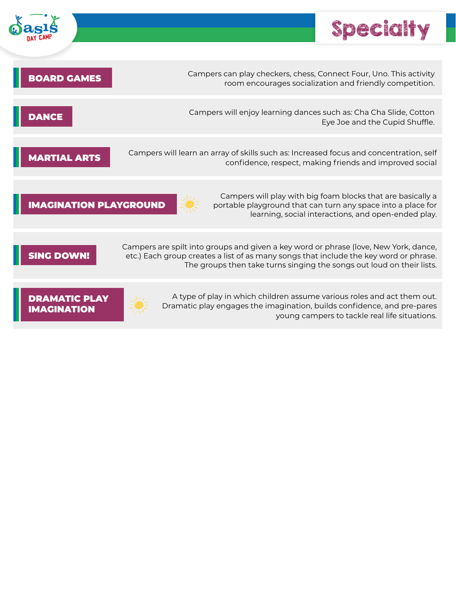

DRAMATIC PLAY IMAGINATION



A type of play in which children assume various roles and act them out. Dramatic play engages the imagination, builds confidence, and pre-pares young campers to tackle real life situations.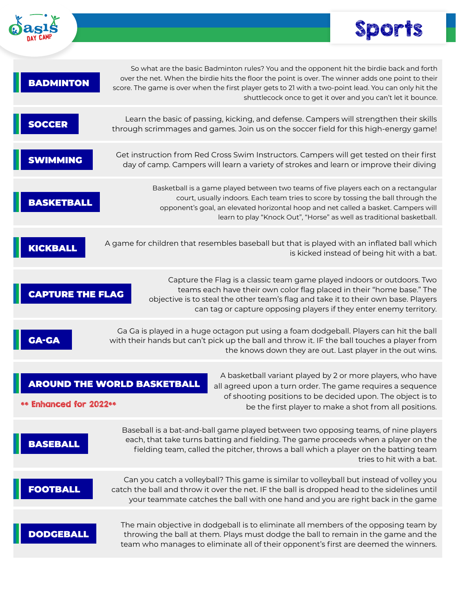



| <b>BADMINTON</b>        |                                    | So what are the basic Badminton rules? You and the opponent hit the birdie back and forth<br>over the net. When the birdie hits the floor the point is over. The winner adds one point to their<br>score. The game is over when the first player gets to 21 with a two-point lead. You can only hit the<br>shuttlecock once to get it over and you can't let it bounce. |                          |
|-------------------------|------------------------------------|-------------------------------------------------------------------------------------------------------------------------------------------------------------------------------------------------------------------------------------------------------------------------------------------------------------------------------------------------------------------------|--------------------------|
| <b>SOCCER</b>           |                                    | Learn the basic of passing, kicking, and defense. Campers will strengthen their skills<br>through scrimmages and games. Join us on the soccer field for this high-energy game!                                                                                                                                                                                          |                          |
| <b>SWIMMING</b>         |                                    | Get instruction from Red Cross Swim Instructors. Campers will get tested on their first<br>day of camp. Campers will learn a variety of strokes and learn or improve their diving                                                                                                                                                                                       |                          |
| <b>BASKETBALL</b>       |                                    | Basketball is a game played between two teams of five players each on a rectangular<br>court, usually indoors. Each team tries to score by tossing the ball through the<br>opponent's goal, an elevated horizontal hoop and net called a basket. Campers will<br>learn to play "Knock Out", "Horse" as well as traditional basketball.                                  |                          |
| KICKBALL                |                                    | A game for children that resembles baseball but that is played with an inflated ball which<br>is kicked instead of being hit with a bat.                                                                                                                                                                                                                                |                          |
| <b>CAPTURE THE FLAG</b> |                                    | Capture the Flag is a classic team game played indoors or outdoors. Two<br>teams each have their own color flag placed in their "home base." The<br>objective is to steal the other team's flag and take it to their own base. Players<br>can tag or capture opposing players if they enter enemy territory.                                                            |                          |
| <b>GA-GA</b>            |                                    | Ga Ga is played in a huge octagon put using a foam dodgeball. Players can hit the ball<br>with their hands but can't pick up the ball and throw it. IF the ball touches a player from<br>the knows down they are out. Last player in the out wins.                                                                                                                      |                          |
| ** Enhanced for 2022**  | <b>AROUND THE WORLD BASKETBALL</b> | A basketball variant played by 2 or more players, who have<br>all agreed upon a turn order. The game requires a sequence<br>of shooting positions to be decided upon. The object is to<br>be the first player to make a shot from all positions.                                                                                                                        |                          |
| <b>BASEBALL</b>         |                                    | Baseball is a bat-and-ball game played between two opposing teams, of nine players<br>each, that take turns batting and fielding. The game proceeds when a player on the<br>fielding team, called the pitcher, throws a ball which a player on the batting team                                                                                                         | tries to hit with a bat. |
| <b>FOOTBALL</b>         |                                    | Can you catch a volleyball? This game is similar to volleyball but instead of volley you<br>catch the ball and throw it over the net. IF the ball is dropped head to the sidelines until<br>your teammate catches the ball with one hand and you are right back in the game                                                                                             |                          |
| <b>DODGEBALL</b>        |                                    | The main objective in dodgeball is to eliminate all members of the opposing team by<br>throwing the ball at them. Plays must dodge the ball to remain in the game and the<br>team who manages to eliminate all of their opponent's first are deemed the winners.                                                                                                        |                          |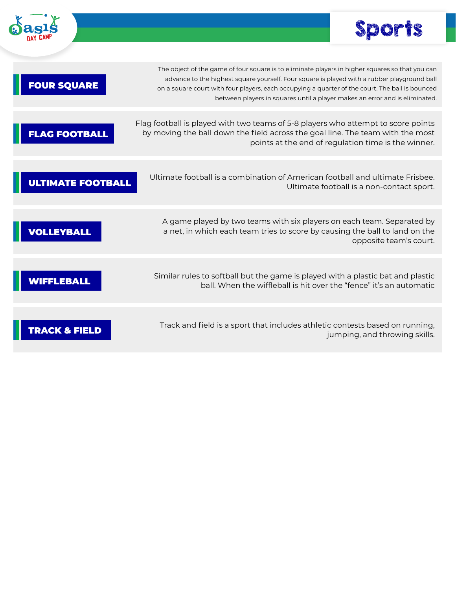



 $\mathcal{L}$ 

| <b>FOUR SQUARE</b>       | The object of the game of four square is to eliminate players in higher squares so that you can<br>advance to the highest square yourself. Four square is played with a rubber playground ball<br>on a square court with four players, each occupying a quarter of the court. The ball is bounced<br>between players in squares until a player makes an error and is eliminated. |
|--------------------------|----------------------------------------------------------------------------------------------------------------------------------------------------------------------------------------------------------------------------------------------------------------------------------------------------------------------------------------------------------------------------------|
| <b>AG FOOTBALL</b>       | Flag football is played with two teams of 5-8 players who attempt to score points<br>by moving the ball down the field across the goal line. The team with the most<br>points at the end of regulation time is the winner.                                                                                                                                                       |
| <b>ULTIMATE FOOTBALL</b> | Ultimate football is a combination of American football and ultimate Frisbee.<br>Ultimate football is a non-contact sport.                                                                                                                                                                                                                                                       |
| <b>OLLEYBALL</b>         | A game played by two teams with six players on each team. Separated by<br>a net, in which each team tries to score by causing the ball to land on the<br>opposite team's court.                                                                                                                                                                                                  |
| EBALL                    | Similar rules to softball but the game is played with a plastic bat and plastic<br>ball. When the wiffleball is hit over the "fence" it's an automatic                                                                                                                                                                                                                           |
|                          | Track and field is a sport that includes athletic contests based on running,<br>jumping, and throwing skills.                                                                                                                                                                                                                                                                    |